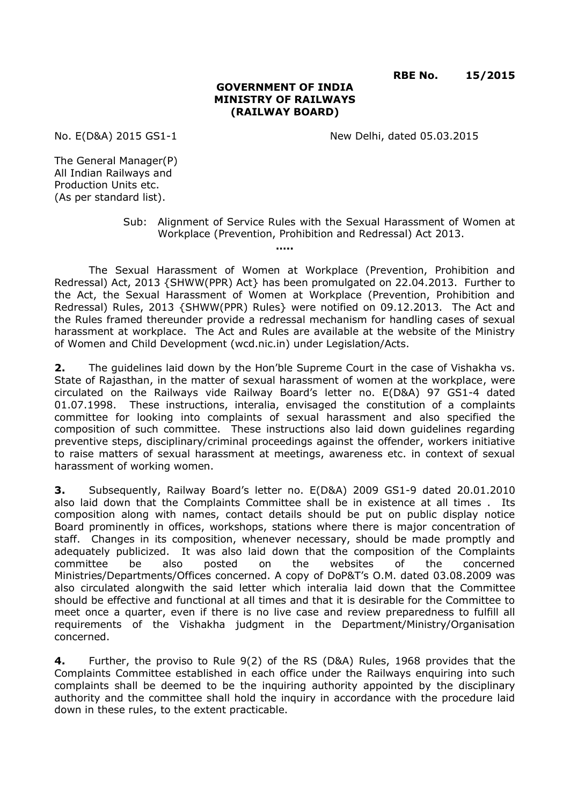**RBE No. 15/2015**

## **GOVERNMENT OF INDIA MINISTRY OF RAILWAYS (RAILWAY BOARD)**

No. E(D&A) 2015 GS1-1 New Delhi, dated 05.03.2015

The General Manager(P) All Indian Railways and Production Units etc. (As per standard list).

> Sub: Alignment of Service Rules with the Sexual Harassment of Women at Workplace (Prevention, Prohibition and Redressal) Act 2013.

The Sexual Harassment of Women at Workplace (Prevention, Prohibition and Redressal) Act, 2013 {SHWW(PPR) Act} has been promulgated on 22.04.2013. Further to the Act, the Sexual Harassment of Women at Workplace (Prevention, Prohibition and Redressal) Rules, 2013 {SHWW(PPR) Rules} were notified on 09.12.2013. The Act and the Rules framed thereunder provide a redressal mechanism for handling cases of sexual harassment at workplace. The Act and Rules are available at the website of the Ministry of Women and Child Development (wcd.nic.in) under Legislation/Acts.

**…..**

**2.** The guidelines laid down by the Hon'ble Supreme Court in the case of Vishakha vs. State of Rajasthan, in the matter of sexual harassment of women at the workplace, were circulated on the Railways vide Railway Board's letter no. E(D&A) 97 GS1-4 dated 01.07.1998. These instructions, interalia, envisaged the constitution of a complaints committee for looking into complaints of sexual harassment and also specified the composition of such committee. These instructions also laid down guidelines regarding preventive steps, disciplinary/criminal proceedings against the offender, workers initiative to raise matters of sexual harassment at meetings, awareness etc. in context of sexual harassment of working women.

**3.** Subsequently, Railway Board's letter no. E(D&A) 2009 GS1-9 dated 20.01.2010 also laid down that the Complaints Committee shall be in existence at all times . Its composition along with names, contact details should be put on public display notice Board prominently in offices, workshops, stations where there is major concentration of staff. Changes in its composition, whenever necessary, should be made promptly and adequately publicized. It was also laid down that the composition of the Complaints committee be also posted on the websites of the concerned Ministries/Departments/Offices concerned. A copy of DoP&T's O.M. dated 03.08.2009 was also circulated alongwith the said letter which interalia laid down that the Committee should be effective and functional at all times and that it is desirable for the Committee to meet once a quarter, even if there is no live case and review preparedness to fulfill all requirements of the Vishakha judgment in the Department/Ministry/Organisation concerned.

**4.** Further, the proviso to Rule 9(2) of the RS (D&A) Rules, 1968 provides that the Complaints Committee established in each office under the Railways enquiring into such complaints shall be deemed to be the inquiring authority appointed by the disciplinary authority and the committee shall hold the inquiry in accordance with the procedure laid down in these rules, to the extent practicable.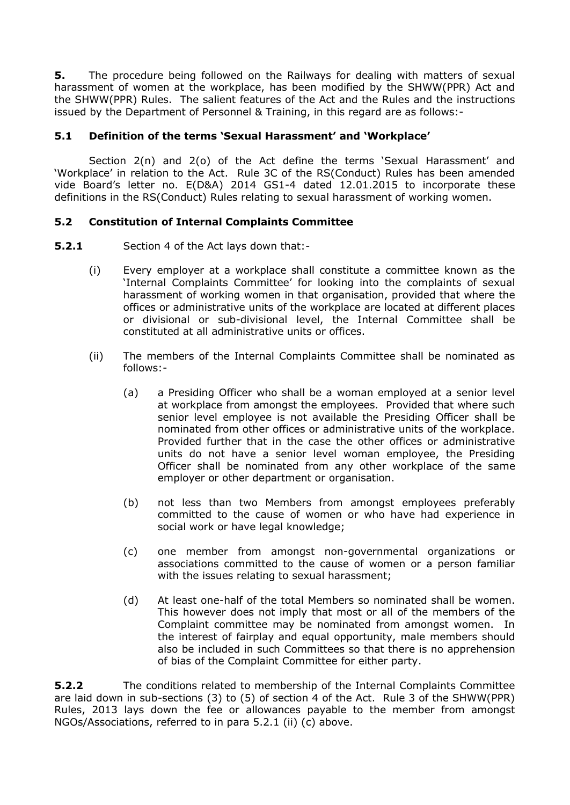**5.** The procedure being followed on the Railways for dealing with matters of sexual harassment of women at the workplace, has been modified by the SHWW(PPR) Act and the SHWW(PPR) Rules. The salient features of the Act and the Rules and the instructions issued by the Department of Personnel & Training, in this regard are as follows:-

## **5.1 Definition of the terms 'Sexual Harassment' and 'Workplace'**

Section 2(n) and 2(o) of the Act define the terms 'Sexual Harassment' and 'Workplace' in relation to the Act. Rule 3C of the RS(Conduct) Rules has been amended vide Board's letter no. E(D&A) 2014 GS1-4 dated 12.01.2015 to incorporate these definitions in the RS(Conduct) Rules relating to sexual harassment of working women.

## **5.2 Constitution of Internal Complaints Committee**

- **5.2.1** Section 4 of the Act lays down that:-
	- (i) Every employer at a workplace shall constitute a committee known as the 'Internal Complaints Committee' for looking into the complaints of sexual harassment of working women in that organisation, provided that where the offices or administrative units of the workplace are located at different places or divisional or sub-divisional level, the Internal Committee shall be constituted at all administrative units or offices.
	- (ii) The members of the Internal Complaints Committee shall be nominated as follows:-
		- (a) a Presiding Officer who shall be a woman employed at a senior level at workplace from amongst the employees. Provided that where such senior level employee is not available the Presiding Officer shall be nominated from other offices or administrative units of the workplace. Provided further that in the case the other offices or administrative units do not have a senior level woman employee, the Presiding Officer shall be nominated from any other workplace of the same employer or other department or organisation.
		- (b) not less than two Members from amongst employees preferably committed to the cause of women or who have had experience in social work or have legal knowledge;
		- (c) one member from amongst non-governmental organizations or associations committed to the cause of women or a person familiar with the issues relating to sexual harassment;
		- (d) At least one-half of the total Members so nominated shall be women. This however does not imply that most or all of the members of the Complaint committee may be nominated from amongst women. In the interest of fairplay and equal opportunity, male members should also be included in such Committees so that there is no apprehension of bias of the Complaint Committee for either party.

**5.2.2** The conditions related to membership of the Internal Complaints Committee are laid down in sub-sections (3) to (5) of section 4 of the Act. Rule 3 of the SHWW(PPR) Rules, 2013 lays down the fee or allowances payable to the member from amongst NGOs/Associations, referred to in para 5.2.1 (ii) (c) above.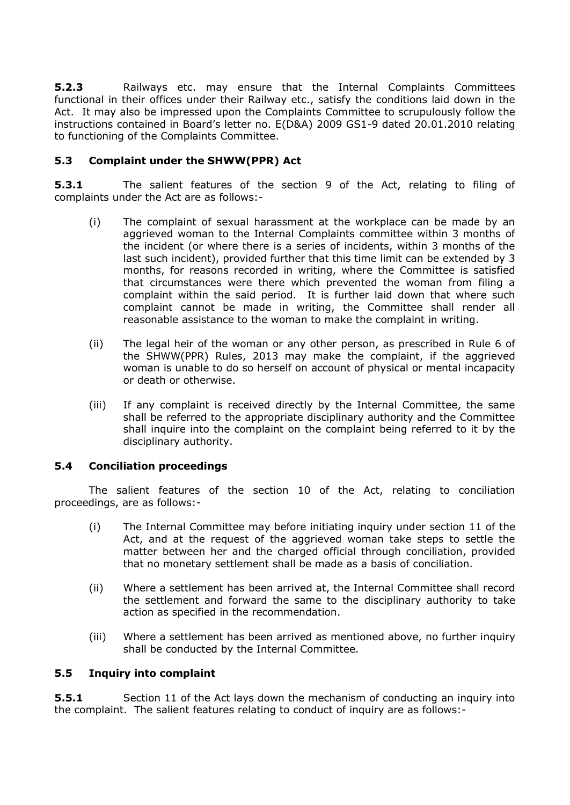**5.2.3** Railways etc. may ensure that the Internal Complaints Committees functional in their offices under their Railway etc., satisfy the conditions laid down in the Act. It may also be impressed upon the Complaints Committee to scrupulously follow the instructions contained in Board's letter no. E(D&A) 2009 GS1-9 dated 20.01.2010 relating to functioning of the Complaints Committee.

## **5.3 Complaint under the SHWW(PPR) Act**

**5.3.1** The salient features of the section 9 of the Act, relating to filing of complaints under the Act are as follows:-

- (i) The complaint of sexual harassment at the workplace can be made by an aggrieved woman to the Internal Complaints committee within 3 months of the incident (or where there is a series of incidents, within 3 months of the last such incident), provided further that this time limit can be extended by 3 months, for reasons recorded in writing, where the Committee is satisfied that circumstances were there which prevented the woman from filing a complaint within the said period. It is further laid down that where such complaint cannot be made in writing, the Committee shall render all reasonable assistance to the woman to make the complaint in writing.
- (ii) The legal heir of the woman or any other person, as prescribed in Rule 6 of the SHWW(PPR) Rules, 2013 may make the complaint, if the aggrieved woman is unable to do so herself on account of physical or mental incapacity or death or otherwise.
- (iii) If any complaint is received directly by the Internal Committee, the same shall be referred to the appropriate disciplinary authority and the Committee shall inquire into the complaint on the complaint being referred to it by the disciplinary authority.

## **5.4 Conciliation proceedings**

The salient features of the section 10 of the Act, relating to conciliation proceedings, are as follows:-

- (i) The Internal Committee may before initiating inquiry under section 11 of the Act, and at the request of the aggrieved woman take steps to settle the matter between her and the charged official through conciliation, provided that no monetary settlement shall be made as a basis of conciliation.
- (ii) Where a settlement has been arrived at, the Internal Committee shall record the settlement and forward the same to the disciplinary authority to take action as specified in the recommendation.
- (iii) Where a settlement has been arrived as mentioned above, no further inquiry shall be conducted by the Internal Committee.

## **5.5 Inquiry into complaint**

**5.5.1** Section 11 of the Act lays down the mechanism of conducting an inquiry into the complaint. The salient features relating to conduct of inquiry are as follows:-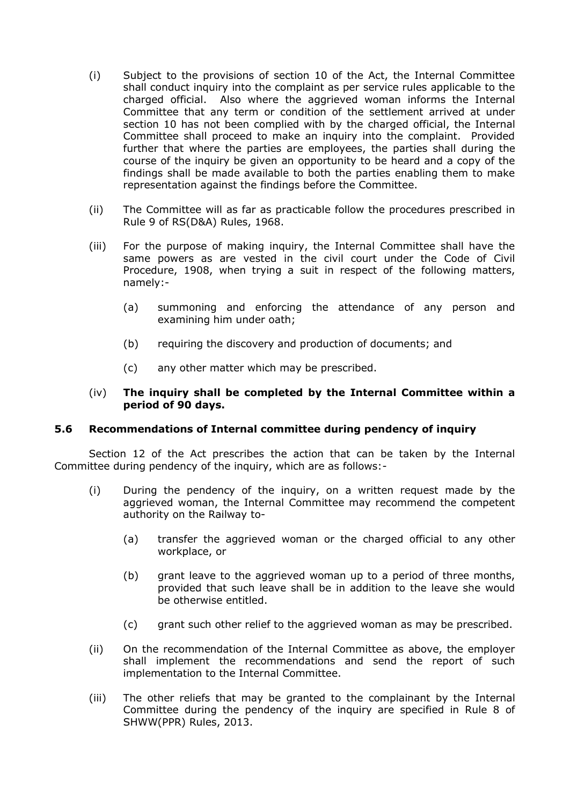- (i) Subject to the provisions of section 10 of the Act, the Internal Committee shall conduct inquiry into the complaint as per service rules applicable to the charged official. Also where the aggrieved woman informs the Internal Committee that any term or condition of the settlement arrived at under section 10 has not been complied with by the charged official, the Internal Committee shall proceed to make an inquiry into the complaint. Provided further that where the parties are employees, the parties shall during the course of the inquiry be given an opportunity to be heard and a copy of the findings shall be made available to both the parties enabling them to make representation against the findings before the Committee.
- (ii) The Committee will as far as practicable follow the procedures prescribed in Rule 9 of RS(D&A) Rules, 1968.
- (iii) For the purpose of making inquiry, the Internal Committee shall have the same powers as are vested in the civil court under the Code of Civil Procedure, 1908, when trying a suit in respect of the following matters, namely:-
	- (a) summoning and enforcing the attendance of any person and examining him under oath;
	- (b) requiring the discovery and production of documents; and
	- (c) any other matter which may be prescribed.

## (iv) **The inquiry shall be completed by the Internal Committee within a period of 90 days.**

## **5.6 Recommendations of Internal committee during pendency of inquiry**

Section 12 of the Act prescribes the action that can be taken by the Internal Committee during pendency of the inquiry, which are as follows:-

- (i) During the pendency of the inquiry, on a written request made by the aggrieved woman, the Internal Committee may recommend the competent authority on the Railway to-
	- (a) transfer the aggrieved woman or the charged official to any other workplace, or
	- (b) grant leave to the aggrieved woman up to a period of three months, provided that such leave shall be in addition to the leave she would be otherwise entitled.
	- (c) grant such other relief to the aggrieved woman as may be prescribed.
- (ii) On the recommendation of the Internal Committee as above, the employer shall implement the recommendations and send the report of such implementation to the Internal Committee.
- (iii) The other reliefs that may be granted to the complainant by the Internal Committee during the pendency of the inquiry are specified in Rule 8 of SHWW(PPR) Rules, 2013.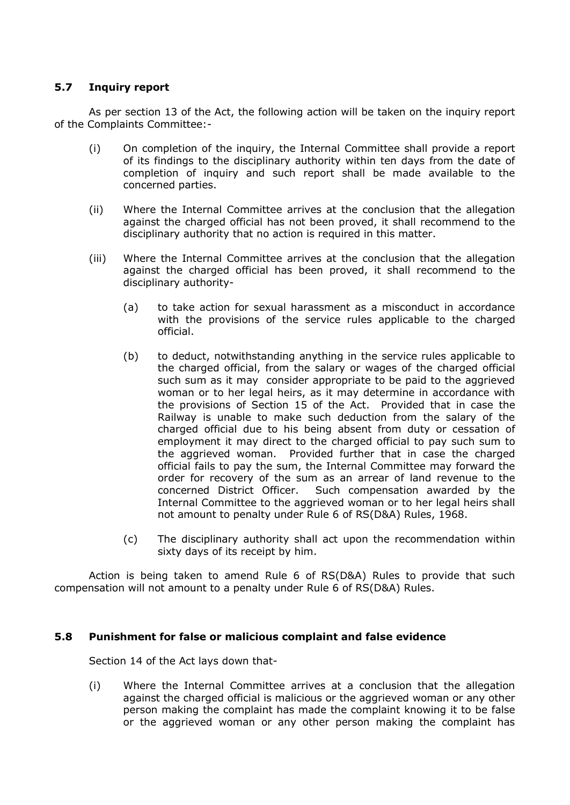## **5.7 Inquiry report**

As per section 13 of the Act, the following action will be taken on the inquiry report of the Complaints Committee:-

- (i) On completion of the inquiry, the Internal Committee shall provide a report of its findings to the disciplinary authority within ten days from the date of completion of inquiry and such report shall be made available to the concerned parties.
- (ii) Where the Internal Committee arrives at the conclusion that the allegation against the charged official has not been proved, it shall recommend to the disciplinary authority that no action is required in this matter.
- (iii) Where the Internal Committee arrives at the conclusion that the allegation against the charged official has been proved, it shall recommend to the disciplinary authority-
	- (a) to take action for sexual harassment as a misconduct in accordance with the provisions of the service rules applicable to the charged official.
	- (b) to deduct, notwithstanding anything in the service rules applicable to the charged official, from the salary or wages of the charged official such sum as it may consider appropriate to be paid to the aggrieved woman or to her legal heirs, as it may determine in accordance with the provisions of Section 15 of the Act. Provided that in case the Railway is unable to make such deduction from the salary of the charged official due to his being absent from duty or cessation of employment it may direct to the charged official to pay such sum to the aggrieved woman. Provided further that in case the charged official fails to pay the sum, the Internal Committee may forward the order for recovery of the sum as an arrear of land revenue to the concerned District Officer. Such compensation awarded by the Internal Committee to the aggrieved woman or to her legal heirs shall not amount to penalty under Rule 6 of RS(D&A) Rules, 1968.
	- (c) The disciplinary authority shall act upon the recommendation within sixty days of its receipt by him.

Action is being taken to amend Rule 6 of RS(D&A) Rules to provide that such compensation will not amount to a penalty under Rule 6 of RS(D&A) Rules.

### **5.8 Punishment for false or malicious complaint and false evidence**

Section 14 of the Act lays down that-

(i) Where the Internal Committee arrives at a conclusion that the allegation against the charged official is malicious or the aggrieved woman or any other person making the complaint has made the complaint knowing it to be false or the aggrieved woman or any other person making the complaint has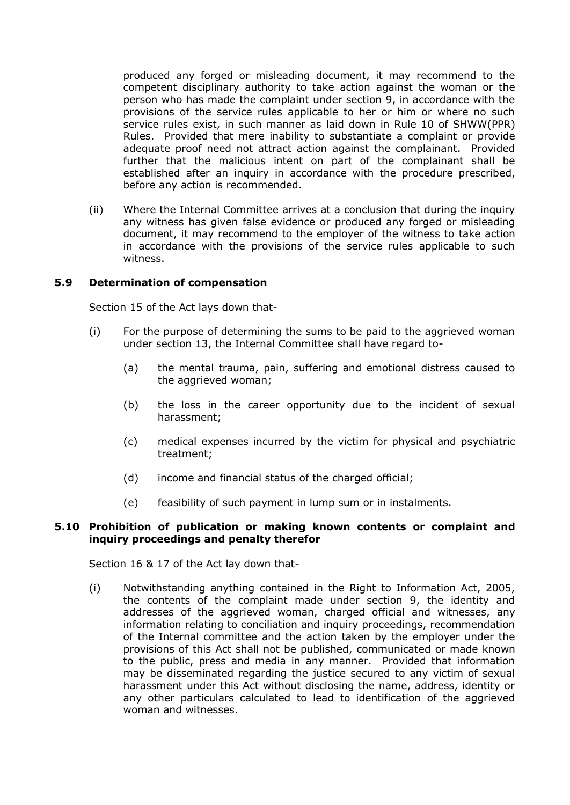produced any forged or misleading document, it may recommend to the competent disciplinary authority to take action against the woman or the person who has made the complaint under section 9, in accordance with the provisions of the service rules applicable to her or him or where no such service rules exist, in such manner as laid down in Rule 10 of SHWW(PPR) Rules. Provided that mere inability to substantiate a complaint or provide adequate proof need not attract action against the complainant. Provided further that the malicious intent on part of the complainant shall be established after an inquiry in accordance with the procedure prescribed, before any action is recommended.

(ii) Where the Internal Committee arrives at a conclusion that during the inquiry any witness has given false evidence or produced any forged or misleading document, it may recommend to the employer of the witness to take action in accordance with the provisions of the service rules applicable to such witness.

## **5.9 Determination of compensation**

Section 15 of the Act lays down that-

- (i) For the purpose of determining the sums to be paid to the aggrieved woman under section 13, the Internal Committee shall have regard to-
	- (a) the mental trauma, pain, suffering and emotional distress caused to the aggrieved woman;
	- (b) the loss in the career opportunity due to the incident of sexual harassment;
	- (c) medical expenses incurred by the victim for physical and psychiatric treatment;
	- (d) income and financial status of the charged official;
	- (e) feasibility of such payment in lump sum or in instalments.

### **5.10 Prohibition of publication or making known contents or complaint and inquiry proceedings and penalty therefor**

Section 16 & 17 of the Act lay down that-

(i) Notwithstanding anything contained in the Right to Information Act, 2005, the contents of the complaint made under section 9, the identity and addresses of the aggrieved woman, charged official and witnesses, any information relating to conciliation and inquiry proceedings, recommendation of the Internal committee and the action taken by the employer under the provisions of this Act shall not be published, communicated or made known to the public, press and media in any manner. Provided that information may be disseminated regarding the justice secured to any victim of sexual harassment under this Act without disclosing the name, address, identity or any other particulars calculated to lead to identification of the aggrieved woman and witnesses.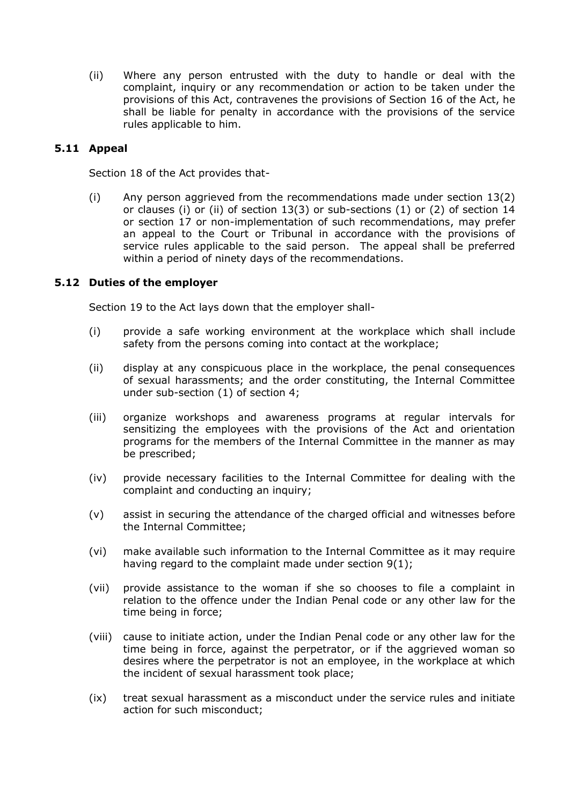(ii) Where any person entrusted with the duty to handle or deal with the complaint, inquiry or any recommendation or action to be taken under the provisions of this Act, contravenes the provisions of Section 16 of the Act, he shall be liable for penalty in accordance with the provisions of the service rules applicable to him.

## **5.11 Appeal**

Section 18 of the Act provides that-

(i) Any person aggrieved from the recommendations made under section 13(2) or clauses (i) or (ii) of section 13(3) or sub-sections (1) or (2) of section 14 or section 17 or non-implementation of such recommendations, may prefer an appeal to the Court or Tribunal in accordance with the provisions of service rules applicable to the said person. The appeal shall be preferred within a period of ninety days of the recommendations.

## **5.12 Duties of the employer**

Section 19 to the Act lays down that the employer shall-

- (i) provide a safe working environment at the workplace which shall include safety from the persons coming into contact at the workplace;
- (ii) display at any conspicuous place in the workplace, the penal consequences of sexual harassments; and the order constituting, the Internal Committee under sub-section (1) of section 4;
- (iii) organize workshops and awareness programs at regular intervals for sensitizing the employees with the provisions of the Act and orientation programs for the members of the Internal Committee in the manner as may be prescribed;
- (iv) provide necessary facilities to the Internal Committee for dealing with the complaint and conducting an inquiry;
- (v) assist in securing the attendance of the charged official and witnesses before the Internal Committee;
- (vi) make available such information to the Internal Committee as it may require having regard to the complaint made under section 9(1);
- (vii) provide assistance to the woman if she so chooses to file a complaint in relation to the offence under the Indian Penal code or any other law for the time being in force;
- (viii) cause to initiate action, under the Indian Penal code or any other law for the time being in force, against the perpetrator, or if the aggrieved woman so desires where the perpetrator is not an employee, in the workplace at which the incident of sexual harassment took place;
- (ix) treat sexual harassment as a misconduct under the service rules and initiate action for such misconduct;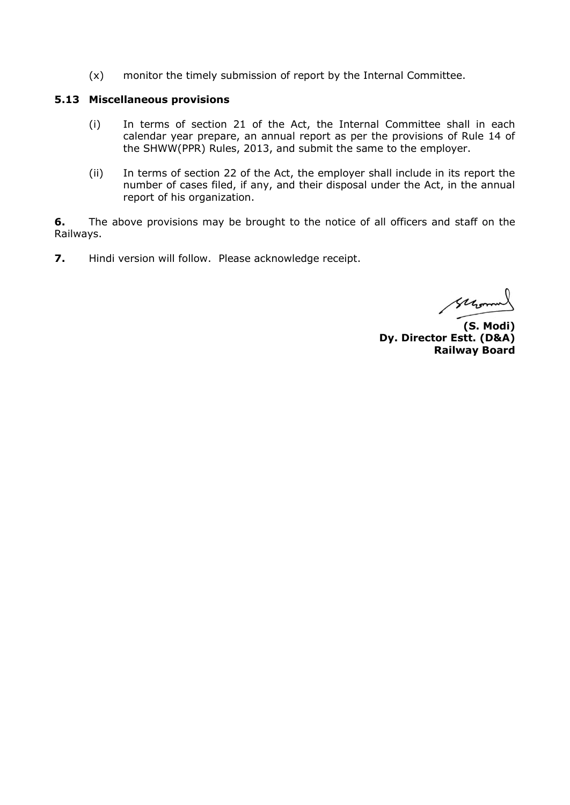(x) monitor the timely submission of report by the Internal Committee.

### **5.13 Miscellaneous provisions**

- (i) In terms of section 21 of the Act, the Internal Committee shall in each calendar year prepare, an annual report as per the provisions of Rule 14 of the SHWW(PPR) Rules, 2013, and submit the same to the employer.
- (ii) In terms of section 22 of the Act, the employer shall include in its report the number of cases filed, if any, and their disposal under the Act, in the annual report of his organization.

**6.** The above provisions may be brought to the notice of all officers and staff on the Railways.

**7.** Hindi version will follow. Please acknowledge receipt.

Glerman

**(S. Modi) Dy. Director Estt. (D&A) Railway Board**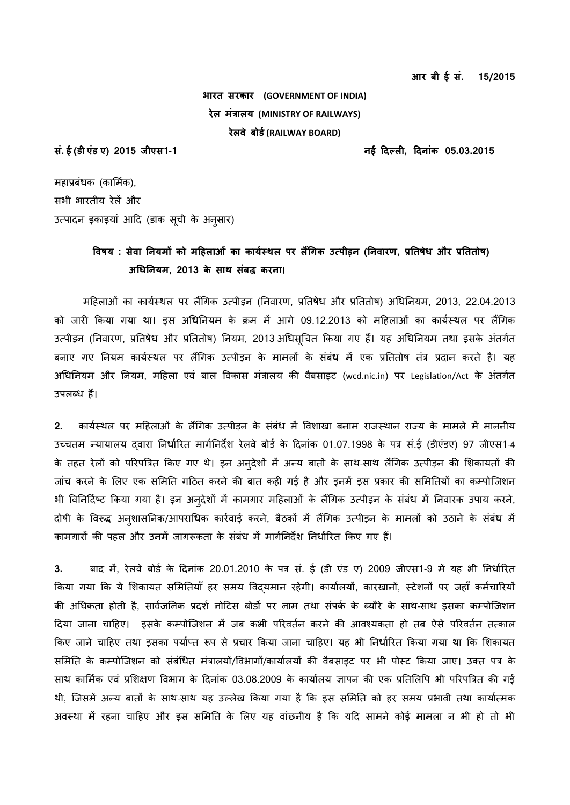**आर बी ई सं. 15/2015**

**भारत सरकार (GOVERNMENT OF INDIA) रेल मंत्रालय (MINISTRY OF RAILWAYS) रेलवे बोर्ड(RAILWAY BOARD)**

**सं. ई (र्ी एंर् ए) 2015 जीएस1-1 नई दिल् लo, दिनांक 05.03.2015**

महाप्रबंधक (कार्मिक), सभी भारतीय रेलें और उत्पादन इकाइयां आदि (डाक सूची के अनुसार)

# विषय : सेवा नियमों को महिलाओं का कार्यस्थल पर लैंगिक उत्पीड़न (निवारण, प्रतिषेध और प्रतितोष) **अिधननयम, 2013 के साe संबद्ध करना।**

मदहलाओं का कायिस् सल पर लगिकक उत पीड़न (ननवारण, प्रनतषेध और प्रनततोष) अिधननयम, 2013, 22.04.2013 को जारी किया गया था। इस अधिनियम के क्रम में आगे 09.12.2013 को महिलाओं का कार्यस्थल पर लैंगिक उत्पीड़न (निवारण, प्रतिषेध और प्रतितोष) नियम, 2013 अधिसूचित किया गए हैं। यह अधिनियम तथा इसके अंतर्गत बनाए गए नियम कार्यस्थल पर लैंगिक उत्पीड़न के मामलों के संबंध में एक प्रतितोष तंत्र प्रदान करते है। यह अिधननयम और ननयम, मदहला एवं बाल ववकास मंरालय की वैबसाइट (wcd.nic.in) पर Legislation/Act के अंतकित उपलब्ध हैं।

2. कार्यस्थल पर महिलाओं के लैंगिक उत्पीड़न के संबंध में विशाखा बनाम राजस्थान राज्य के मामले में माननीय उच्चतम न्यायालय दवारा निर्धारित मार्गनिर्देश रेलवे बोर्ड के दिनांक 01.07.1998 के पत्र सं.ई (डीएंडए) 97 जीएस1-4 के तहत रेलों को परिपत्रित किए गए थे। इन अनुदेशों में अन्य बातों के साथ-साथ लैंगिक उत्पीड़न की शिकायतों की जांच करने के लिए एक समिति गठित करने की बात कही गई है और इनमें इस प्रकार की समितियों का कम्पोजिशन भी विनिर्दिष्ट किया गया है। इन अनुदेशों में कामगार महिलाओं के लैंगिक उत्पीड़न के संबंध में निवारक उपाय करने, दोषी के विरूद्ध अन्शासनिक/आपराधिक कार्रवाई करने, बैठकों में लैंगिक उत्पीड़न के मामलों को उठाने के संबंध में कामगारों की पहल और उनमें जागरूकता के संबंध में मार्गनिर्देश निर्धारित किए गए हैं।

**3.** बाद में, रेलवे बोडि के ददनांक 20.01.2010 के पर सं. ई (डी एंड ए) 2009 जीएस1-9 में यह भी ननधािररत किया गया कि ये शिकायत समितियाँ हर समय विद्यमान रहेंगी। कार्यालयों, कारखानों, स्टेशनों पर जहाँ कर्मचारियों की अधिकता होती है, सार्वजनिक प्रदर्श नोटिस बोर्डों पर नाम तथा संपर्क के ब्यौरे के साथ-साथ इसका कम्पोजिशन दिया जाना चाहिए। इसके कम्पोजिशन में जब कभी परिवर्तन करने की आवश्यकता हो तब ऐसे परिवर्तन तत्काल किए जाने चाहिए तथा इसका पर्याप्त रूप से प्रचार किया जाना चाहिए। यह भी निर्धारित किया गया था कि शिकायत समिति के कम्पोजिशन को संबंधित मंत्रालयों/विभागों/कार्यालयों की वैबसाइट पर भी पोस्ट किया जाए। उक्त पत्र के सास कार्मिक एवं प्रर्शक्षण ववभाक के ददनांक 03.08.2009 के कायािलय ज्ञापन की एक प्रनतर्लवप भी पररपत्ररत की कई थी, जिसमें अन्य बातों के साथ-साथ यह उल्लेख किया गया है कि इस समिति को हर समय प्रभावी तथा कार्यात्मक अवस्था में रहना चाहिए और इस समिति के लिए यह वांछनीय है कि यदि सामने कोई मामला न भी हो तो भी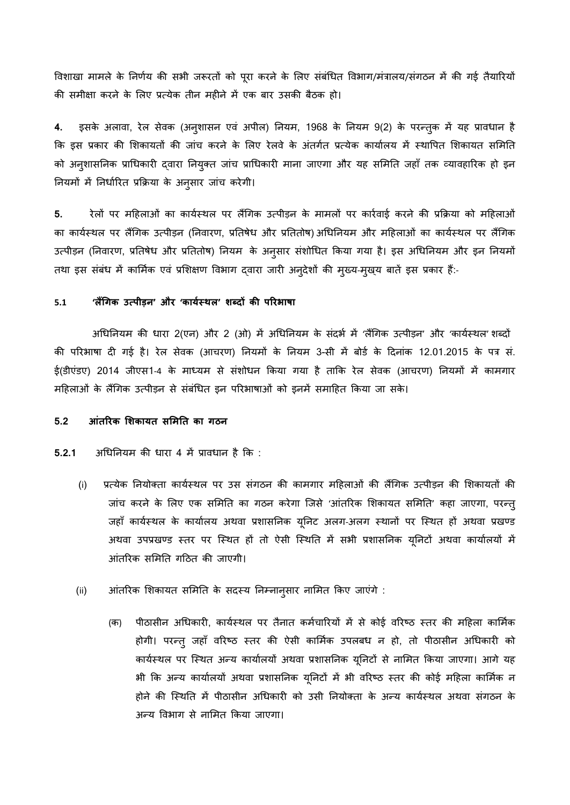विशाखा मामले के निर्णय की सभी जरूरतों को पूरा करने के लिए संबंधित विभाग/मंत्रालय/संगठन में की गई तैयारियों की समीक्षा करने के लिए प्रत्येक तीन महीने में एक बार उसकी बैठक हो।

**4.** इसके अलावा, रेल सेवक (अनुशासन एवं अपील) ननयम, 1968 के ननयम 9(2) के पर्तुक में यह प्रावधान है कि इस प्रकार की शिकायतों की जांच करने के लिए रेलवे के अंतर्गत प्रत्येक कार्यालय में स्थापित शिकायत समिति को अनुशासनिक प्राधिकारी द्वारा नियुक्त जांच प्राधिकारी माना जाएगा और यह समिति जहाँ तक व्यावहारिक हो इन नियमों में निर्धारित प्रक्रिया के अनुसार जांच करेगी।

5. रेलों पर महिलाओं का कार्यस्थल पर लैंगिक उत्पीड़न के मामलों पर कार्रवाई करने की प्रक्रिया को महिलाओं का कार्यस्थल पर लैंगिक उत्पीड़न (निवारण, प्रतिषेध और प्रतितोष) अधिनियम और महिलाओं का कार्यस्थल पर लैंगिक उत्पीड़न (निवारण, प्रतिषेध और प्रतितोष) नियम के अनुसार संशोधित किया गया है। इस अधिनियम और इन नियमों तथा इस संबंध में कार्मिक एवं प्रशिक्षण विभाग द्वारा जारी अनुदेशों की मुख्य-मुख्य बातें इस प्रकार हैं:-

### **5.1 'लगिकक त् रीड़न' और 'कायडस् eल' शब्द िों कर रारभाषा**

अधिनियम की धारा 2(एन) और 2 (ओ) में अधिनियम के संदर्भ में 'लैंगिक उत्पीड़न' और 'कार्यस्थल' शब्दों की परिभाषा दी गई है। रेल सेवक (आचरण) नियमों के नियम 3-सी में बोर्ड के दिनांक 12.01.2015 के पत्र सं. ई(डीएंडए) 2014 जीएस1-4 के माध्यम से संशोधन किया गया है ताकि रेल सेवक (आचरण) नियमों में कामगार महिलाओं के लैंगिक उत्पीड़न से संबंधित इन परिभाषाओं को इनमें समाहित किया जा सके।

### **5.2 आंतारक शशकायत सशमनत का कठन**

**5.2.1** अधिनियम की धारा 4 में प्रावधान है कि :

- (i) प्रत्येक नियोक्ता कार्यस्थल पर उस संगठन की कामगार महिलाओं की लैंगिक उत्पीड़न की शिकायतों की जांच करने के लिए एक समिति का गठन करेगा जिसे 'आंतरिक शिकायत समिति' कहा जाएगा, परन्तु जहाँ कार्यस्थल के कार्यालय अथवा प्रशासनिक यूनिट अलग-अलग स्थानों पर स्थित हों अथवा प्रखण्ड अथवा उपप्रखण्ड स्तर पर स्थित हों तो ऐसी स्थिति में सभी प्रशासनिक यूनिटों अथवा कार्यालयों में आंतररक सर्मनत कदित की जाएकी।
- (ii) आंतरिक शिकायत समिति के सदस्य निम्नान्**सार नामित किए जाएंगे** :
	- (क) पीठासीन अधिकारी, कार्यस्थल पर तैनात कर्मचारियों में से कोई वरिष्ठ स्तर की महिला कार्मिक होगी। परन्तु जहाँ वरिष्ठ स्तर की ऐसी कार्मिक उपलबध न हो, तो पीठासीन अधिकारी को कार्यस्थल पर स्थित अन्य कार्यालयों अथवा प्रशासनिक यूनिटों से नामित किया जाएगा। आगे यह भी कि अन्य कार्यालयों अथवा प्रशासनिक यूनिटों में भी वरिष्ठ स्तर की कोई महिला कार्मिक न होने की स्थिति में पीठासीन अधिकारी को उसी नियोक्ता के अन्य कार्यस्थल अथवा संगठन के अन्य विभाग से नामित किया जाएगा।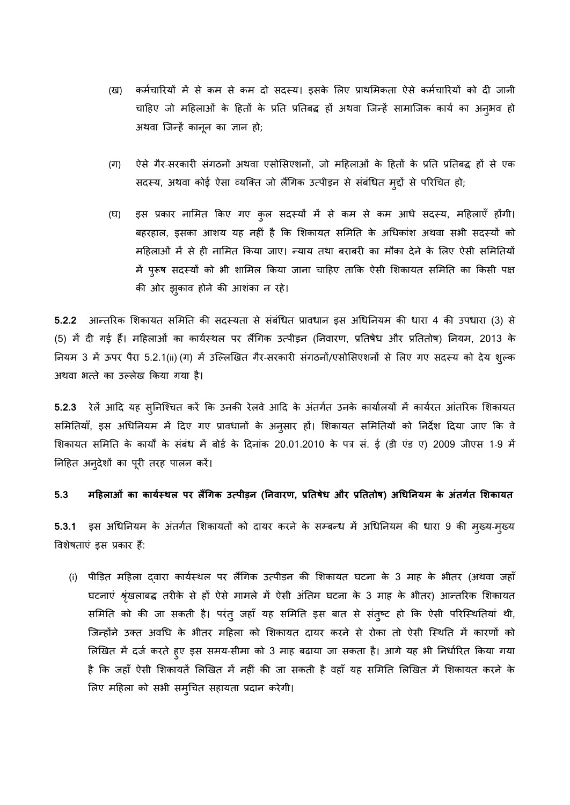- (ख) कर्मचारियों में से कम से कम दो सदस्य। इसके लिए प्राथमिकता ऐसे कर्मचारियों को दी जानी चाहिए जो महिलाओं के हितों के प्रति प्रतिबद्ध हों अथवा जिन्हें सामाजिक कार्य का अनुभव हो अथवा जिन्हें कानून का ज्ञान हो;
- (ग) ऐसे गैर-सरकारी संगठनों अथवा एसोसिएशनों, जो महिलाओं के हितों के प्रति प्रतिबद्ध हों से एक सदस्य, अथवा कोई ऐसा व्यक्ति जो लैंगिक उत्पीड़न से संबंधित मुद्दों से परिचित हो;
- (घ) इस प्रकार नामित किए गए कुल सदस्यों में से कम से कम आधे सदस्य, महिलाएँ होंगी। बहरहाल, इसका आशय यह नहीं है कि शिकायत समिति के अधिकांश अथवा सभी सदस्यों को महिलाओं में से ही नामित किया जाए। न्याय तथा बराबरी का मौका देने के लिए ऐसी समितियों में पुरूष सदस्यों को भी शामिल किया जाना चाहिए ताकि ऐसी शिकायत समिति का किसी पक्ष की ओर झुकाव होने की आशंका न रहे।

5.2.2 आन्तरिक शिकायत समिति की सदस्यता से संबंधित प्रावधान इस अधिनियम की धारा 4 की उपधारा (3) से (5) में दी गई हैं। महिलाओं का कार्यस्थल पर लैंगिक उत्पीड़न (निवारण, प्रतिषेध और प्रतितोष) नियम, 2013 के नियम 3 में ऊपर पैरा 5.2.1(ii) (ग) में उल्लिखित गैर-सरकारी संगठनों/एसोसिएशनों से लिए गए सदस्य को देय शुल्क अथवा भत्ते का उल्लेख किया गया है।

5.2.3 रेलें आदि यह स्**निश्चित करें कि उनकी रेलवे आदि के अंतर्ग**त उनके कार्यालयों में कार्यरत आंतरिक शिकायत समितियाँ, इस अधिनियम में दिए गए प्रावधानों के अनुसार हों। शिकायत समितियों को निर्देश दिया जाए कि वे र्शकायत सर्मनत के कायों के संबंध में बोडि के ददनांक 20.01.2010 के पर सं. ई (डी एंड ए) 2009 जीएस 1-9 में निहित अनुदेशों का पूरी तरह पालन करें।

5.3 महिलाओं का कार्यस्थल पर लैंगिक उत्पीड़न (निवारण, प्रतिषेध और प्रतितोष) अधिनियम के अंतर्गत शिकायत

5.3.1 इस अधिनियम के अंतर्गत शिकायतों को दायर करने के सम्बन्ध में अधिनियम की धारा 9 की मुख्य-मुख्य विशेषताएं इस प्रकार हैं:

(i) पीड़ित महिला दवारा कार्यस्थल पर लैंगिक उत्पीड़न की शिकायत घटना के 3 माह के भीतर (अथवा जहाँ घटनाएं श्रृंखलाबद्ध तरीके से हों ऐसे मामले में ऐसी अंतिम घटना के 3 माह के भीतर) आन्तरिक शिकायत समिति को की जा सकती है। परंतु जहाँ यह समिति इस बात से संतुष्ट हो कि ऐसी परिस्थितियां थी, जिन्होंने उक्त अवधि के भीतर महिला को शिकायत दायर करने से रोका तो ऐसी स्थिति में कारणों को लिखित में दर्ज करते हुए इस समय-सीमा को 3 माह बढ़ाया जा सकता है। आगे यह भी निर्धारित किया गया है कि जहाँ ऐसी शिकायतें लिखित में नहीं की जा सकती है वहाँ यह समिति लिखित में शिकायत करने के र्लए मदहला को सभी समुिचत सहायता प्रदान करेकी।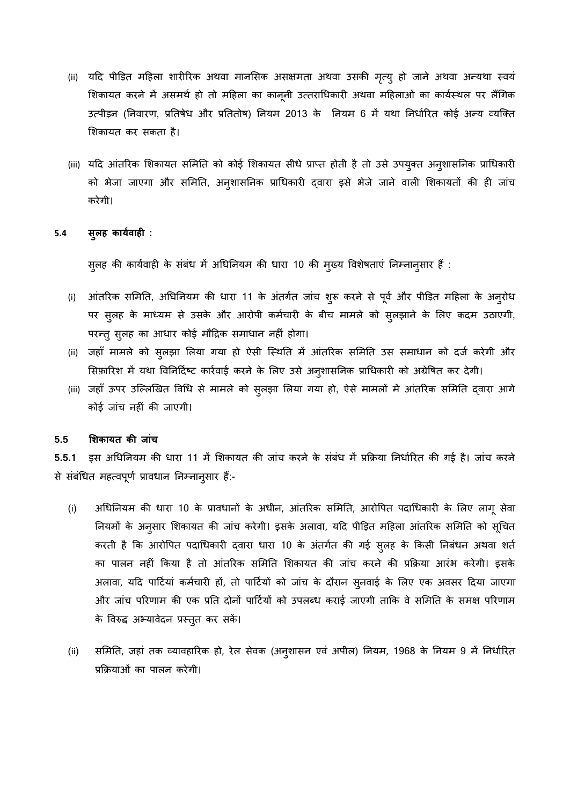- (ii) यदि पीड़ित महिला शारीरिक अथवा मानसिक असक्षमता अथवा उसकी मृत्यु हो जाने अथवा अन्यथा स्वयं शिकायत करने में असमर्थ हो तो महिला का कानूनी उत्तराधिकारी अथवा महिलाओं का कार्यस्थल पर लैंगिक उत्पीड़न (निवारण, प्रतिषेध और प्रतितोष) नियम 2013 के नियम 6 में यथा निर्धारित कोई अन्य व्यक्ति र्शकायत कर सकता है।
- (iii) यदि आंतरिक शिकायत समिति को कोई शिकायत सीधे प्राप्त होती है तो उसे उपयुक्त अनुशासनिक प्राधिकारी को भेजा जाएगा और समिति, अनुशासनिक प्राधिकारी द्वारा इसे भेजे जाने वाली शिकायतों की ही जांच करेकी।

### **5.4 सुलि कायडवािo :**

सुलह की कार्यवाही के संबंध में अधिनियम की धारा 10 की मुख्य विशेषताएं निम्नान्सार हैं :

- (i) आंतररक सर्मनत, अिधननयम की धारा 11 के अंतकति जांच शुरू करने से पूवि और पीड़ड़त मदहला के अनुरोध पर सुलह के माध्यम से उसके और आरोपी कर्मचारी के बीच मामले को सुलझाने के लिए कदम उठाएगी, पर्तुसुलह का आधार कोई मौंदिक समाधान नहीं होका।
- (ii) जहाँ मामले को सुलझा लिया गया हो ऐसी स्थिति में आंतरिक समिति उस समाधान को दर्ज करेगी और सिफ़ारिश में यथा विनिर्दिष्ट कार्रवाई करने के लिए उसे अनुशासनिक प्राधिकारी को अग्रेषित कर देगी।
- (iii) जहाँ ऊपर उल्लिखित विधि से मामले को सुलझा लिया गया हो, ऐसे मामलों में आंतरिक समिति द्वारा आगे कोई जांच नहीं की जाएकी।

### **5.5 शशकायत कर जांच**

**5.5.1** इस अिधननयम की धारा 11 में र्शकायत की जांच करने के संबंध में प्रकक्रया ननधािररत की कई है। जांच करने से संबंधित महत्वपूर्ण प्रावधान निम्नानुसार हैं:-

- (i) अधिनियम की धारा 10 के प्रावधानों के अधीन, आंतरिक समिति, आरोपित पदाधिकारी के लिए लागू सेवा नियमों के अनुसार शिकायत की जांच करेगी। इसके अलावा, यदि पीड़ित महिला आंतरिक समिति को सूचित करती है कि आरोपित पदाधिकारी दवारा धारा 10 के अंतर्गत की गई सुलह के किसी निबंधन अथवा शर्त का पालन नहीं ककया है तो आंतररक सर्मनत र्शकायत की जांच करने की प्रकक्रया आरंभ करेकी। इसके अलावा, यदि पार्टियां कर्मचारी हों, तो पार्टियों को जांच के दौरान सुनवाई के लिए एक अवसर दिया जाएगा और जांच परिणाम की एक प्रति दोनों पार्टियों को उपलब्ध कराई जाएगी ताकि वे समिति के समक्ष परिणाम के विरुद्ध अभ्यावेदन प्रस्तुत कर सकें।
- (ii) समिति, जहां तक व्यावहारिक हो, रेल सेवक (अन्**शासन एवं अपील) नियम, 1968 के नियम 9** में निर्धारित प्रकक्रयाओं का पालन करेकी।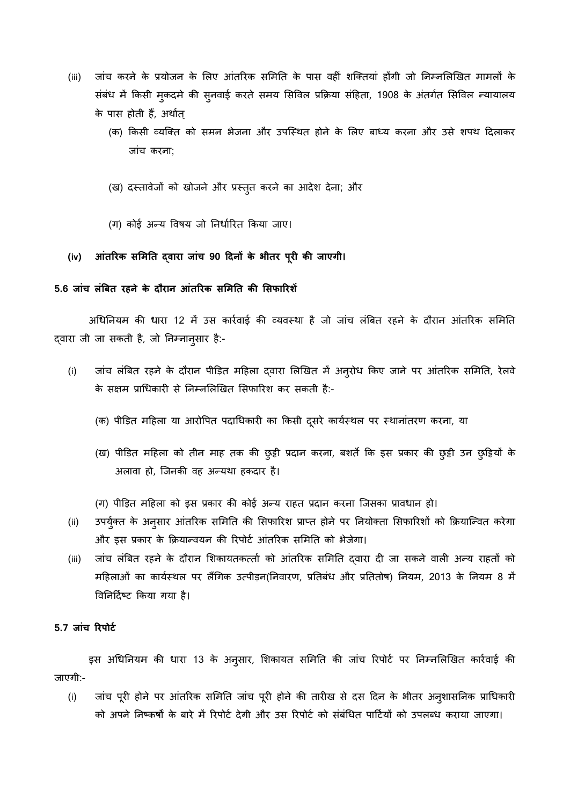- (iii) जांच करने के प्रयोजन के लिए आंतरिक समिति के पास वहीं शक्तियां होंगी जो निम्नलिखित मामलों के संबंध में किसी मुकदमे की सुनवाई करते समय सिविल प्रक्रिया संहिता, 1908 के अंतर्गत सिविल न्यायालय के पास होती हैं, अर्थात्
	- (क) किसी व्यक्ति को समन भेजना और उपस्थित होने के लिए बाध्य करना और उसे शपथ दिलाकर जांच करना;
	- (ख) दस्तावेजों को खोजने और प्रस्तुत करने का आदेश देना; और
	- (ग) कोई अन्य विषय जो निर्धारित किया जाए।

### **(iv) आंतारक सशमनत द्वारा जांच 90 दिनों के भीतर रूरo कर जाएकी।**

### **5.6 जांच लंबबत रिने के िौरान आंतारक सशमनत कर शसफाारशें**

अधिनियम की धारा 12 में उस कार्रवाई की व्यवस्था है जो जांच लंबित रहने के दौरान आंतरिक समिति द्वारा जी जा सकती है, जो निम्नान्सार है:-

- (i) जांच लंत्रबत रहने के दौंरान पीड़ड़त मदहला द्वारा र्लखखत में अनुरोध ककए जाने पर आंतररक सर्मनत, रेलवे के सक्षम प्राधिकारी से निम्नलिखित सिफारिश कर सकती है:-
	- (क) पीड़ित महिला या आरोपित पदाधिकारी का किसी दूसरे कार्यस्थल पर स्थानांतरण करना, या
	- (ख) पीड़ित महिला को तीन माह तक की छुट्टी प्रदान करना, बशर्ते कि इस प्रकार की छुट्टी उन छुट्टियों के अलावा हो, जिनकी वह अन्यथा हकदार है।

(ग) पीड़ित महिला को इस प्रकार की कोई अन्य राहत प्रदान करना जिसका प्रावधान हो।

- (ii) उपर्युक्त के अनुसार आंतरिक समिति की सिफारिश प्राप्त होने पर नियोक्ता सिफारिशों को क्रियान्वित करेगा और इस प्रकार के क्रियान्वयन की रिपोर्ट आंतरिक समिति को भेजेगा।
- (iii) जांच लंबित रहने के दौरान शिकायतकत्ती को आंतरिक समिति दवारा दी जा सकने वाली अन्य राहतों को महिलाओं का कार्यस्थल पर लैंगिक उत्पीड़न(निवारण, प्रतिबंध और प्रतितोष) नियम, 2013 के नियम 8 में विनिर्दिष्ट किया गया है।

## **5.7 जांच ाररोर्ड**

इस अधिनियम की धारा 13 के अनुसार, शिकायत समिति की जांच रिपोर्ट पर निम्नलिखित कार्रवाई की जाएकी:-

(i) जांच पूरी होने पर आंतररक सर्मनत जांच पूरी होने की तारीख से दस ददन के भीतर अनुशासननक प्रािधकारी को अपने निष्कर्षों के बारे में रिपोर्ट देगी और उस रिपोर्ट को संबंधित पार्टियों को उपलब्ध कराया जाएगा।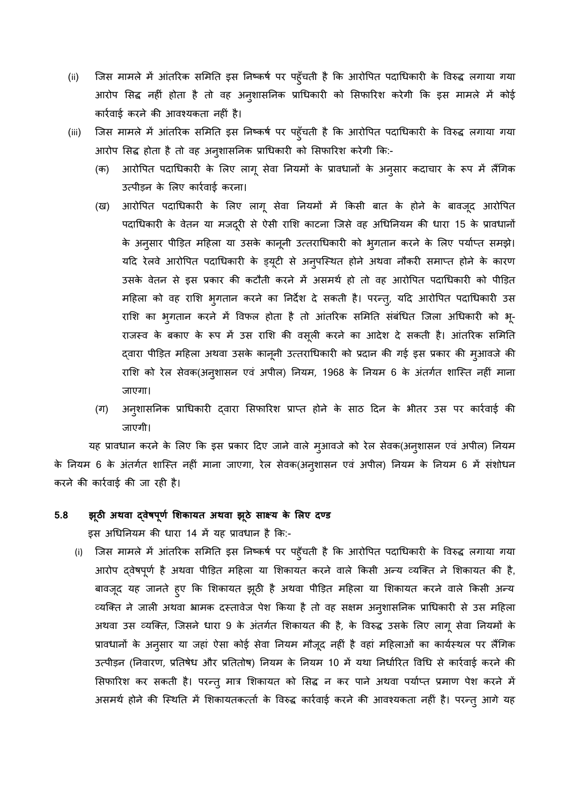- (ii) जिस मामले में आंतरिक समिति इस निष्कर्ष पर पहुँचती है कि आरोपित पदाधिकारी के विरुद्ध लगाया गया आरोप सिद्ध नहीं होता है तो वह अनुशासनिक प्राधिकारी को सिफारिश करेगी कि इस मामले में कोई कारिवाई करने की आवय यकता नहीं है।
- (iii) जिस मामले में आंतरिक समिति इस निष्कर्ष पर पहुँचती है कि आरोपित पदाधिकारी के विरुद्ध लगाया गया आरोप सिद्ध होता है तो वह अनुशासनिक प्राधिकारी को सिफारिश करेगी कि:-
	- (क) आरोपित पदाधिकारी के लिए लागू सेवा नियमों के प्रावधानों के अन् $\,$ सार कदाचार के रूप में लैंगिक उत्पीड़न के लिए कार्रवाई करना।
	- (ख) आरोपित पदाधिकारी के लिए लागू सेवा नियमों में किसी बात के होने के बावजूद आरोपित पदाधिकारी के वेतन या मजदूरी से ऐसी राशि काटना जिसे वह अधिनियम की धारा 15 के प्रावधानों के अनुसार पीड़ित महिला या उसके कानूनी उत्तराधिकारी को भुगतान करने के लिए पर्याप्त समझे। यदि रेलवे आरोपित पदाधिकारी के ड्यूटी से अनुपस्थित होने अथवा नौकरी समाप्त होने के कारण उसके वेतन से इस प्रकार की कटौंती करने में असमसि हो तो वह आरोवपत पदािधकारी को पीड़ड़त महिला को वह राशि भ्गतान करने का निर्देश दे सकती है। परन्त्, यदि आरोपित पदाधिकारी उस राशि का भ्गतान करने में विफल होता है तो आंतरिक समिति संबंधित जिला अधिकारी को भू-राजस्व के बकाए के रूप में उस राशि की वसूली करने का आदेश दे सकती है। आंतरिक समिति द्वारा पीड़ड़त मदहला असवा उसके कानूनी उततरािधकारी को प्रदान की कई इस प्रकार की मुआवजे की राशि को रेल सेवक(अनुशासन एवं अपील) नियम, 1968 के नियम 6 के अंतर्गत शास्ति नहीं माना जाएका।
	- (ग) अनुशासनिक प्राधिकारी द्वारा सिफारिश प्राप्त होने के साठ दिन के भीतर उस पर कार्रवाई की जाएकी।

यह प्रावधान करने के लिए कि इस प्रकार दिए जाने वाले मुआवजे को रेल सेवक(अनुशासन एवं अपील) नियम के नियम 6 के अंतर्गत शास्ति नहीं माना जाएगा, रेल सेवक(अनुशासन एवं अपील) नियम के नियम 6 में संशोधन करने की कारिवाई की जा रही है।

### **5.8 झूठी अeवा द्वेषरूणड शशकायत अeवा झूठे साक्ष् य के शलए ि् र्**

इस अधिनियम की धारा 14 में यह प्रावधान है कि:-

(i) जिस मामले में आंतरिक समिति इस निष्कर्ष पर पहूँचती है कि आरोपित पदाधिकारी के विरुद्ध लगाया गया आरोप द्वेषपूर्ण है अथवा पीड़ित महिला या शिकायत करने वाले किसी अन्य व्यक्ति ने शिकायत की है, बावजूद यह जानते हुए कि शिकायत झूठी है अथवा पीड़ित महिला या शिकायत करने वाले किसी अन्य व्यक्ति ने जाली अथवा भ्रामक दस्तावेज पेश किया है तो वह सक्षम अनुशासनिक प्राधिकारी से उस महिला अथवा उस व्यक्ति, जिसने धारा 9 के अंतर्गत शिकायत की है, के विरुद्ध उसके लिए लागू सेवा नियमों के प्रावधानों के अनुसार या जहां ऐसा कोई सेवा नियम मौजूद नहीं है वहां महिलाओं का कार्यस्थल पर लैंगिक उत्पीड़न (निवारण, प्रतिषेध और प्रतितोष) नियम के नियम 10 में यथा निर्धारित विधि से कार्रवाई करने की सिफारिश कर सकती है। परन्तु मात्र शिकायत को सिद्ध न कर पाने अथवा पर्याप्त प्रमाण पेश करने में असमर्थ होने की स्थिति में शिकायतकर्त्ता के विरुद्ध कार्रवाई करने की आवश्यकता नहीं है। परन्तु आगे यह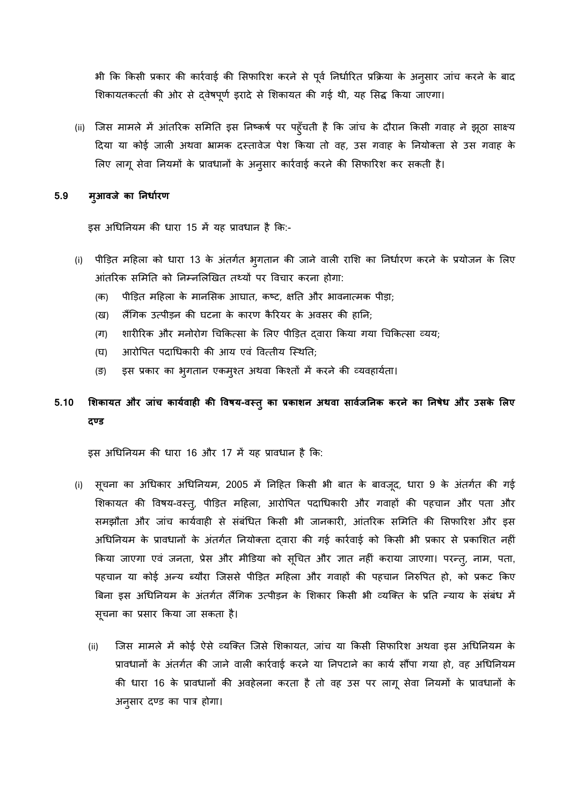भी कक ककसी प्रकार की कारिवाई की र्सााररश करने से पूवि ननधािररत प्रकक्रया के अनुसार जांच करने के बाद शिकायतकर्त्ता की ओर से दवेषपूर्ण इरादे से शिकायत की गई थी, यह सिद्ध किया जाएगा।

(ii) जिस मामले में आंतरिक समिति इस निष्कर्ष पर पहूँचती है कि जांच के दौरान किसी गवाह ने झूठा साक्ष्य दिया या कोई जाली अथवा भ्रामक दस्तावेज पेश किया तो वह, उस गवाह के नियोक्ता से उस गवाह के लिए लागू सेवा नियमों के प्रावधानों के अनुसार कार्रवाई करने की सिफारिश कर सकती है।

### **5.9 मुआवजे का ननधाडरण**

इस अधिनियम की धारा 15 में यह प्रावधान है कि:-

- (i) पीड़ड़त मदहला को धारा 13 के अंतकति भुकतान की जाने वाली रार्श का ननधािरण करने के प्रयोजन के र्लए आंतरिक समिति को निम्नलिखित तथ्यों पर विचार करना होगा:
	- (क) पीड़ित महिला के मानसिक आघात, कष्ट, क्षति और भावनात्मक पीड़ा;
	- (ख) लैंगिक उत्पीड़न की घटना के कारण कैरियर के अवसर की हानि;
	- (ग) शारीरिक और मनोरोग चिकित्सा के लिए पीड़ित दवारा किया गया चिकित्सा व्यय;
	- (घ) आरोपित पदाधिकारी की आय एवं वित्तीय स्थिति;
	- (ङ) इस प्रकार का भुगतान एकम्श्त अथवा किश्तों में करने की व्यवहार्यता।

# **5.10 शशकायत और जांच कायडवािo कर ववषय-वस्तुका प्रकाशन अeवा सावडजननक करने का ननषेध और तसके शलए ि्र्**

इस अधिनियम की धारा 16 और 17 में यह प्रावधान है कि:

- (i) सूचना का अधिकार अधिनियम, 2005 में निहित किसी भी बात के बावजूद, धारा 9 के अंतर्गत की गई शिकायत की विषय-वस्त्, पीड़ित महिला, आरोपित पदाधिकारी और गवाहों की पहचान और पता और समझौंता और जांच कायिवाही से संबंिधत ककसी भी जानकारी, आंतररक सर्मनत की र्सााररश और इस अधिनियम के प्रावधानों के अंतर्गत नियोक्ता दवारा की गई कार्रवाई को किसी भी प्रकार से प्रकाशित नहीं किया जाएगा एवं जनता, प्रेस और मीडिया को सूचित और ज्ञात नहीं कराया जाएगा। परन्त्, नाम, पता, पहचान या कोई अन्य ब्यौरा जिससे पीड़ित महिला और गवाहों की पहचान निरुपित हो, को प्रकट किए बिना इस अधिनियम के अंतर्गत लैंगिक उत्पीड़न के शिकार किसी भी व्यक्ति के प्रति न्याय के संबंध में सूचना का प्रसार ककया जा सकता है।
	- (ii) जिस मामले में कोई ऐसे व्यक्ति जिसे शिकायत, जांच या किसी सिफारिश अथवा इस अधिनियम के प्रावधानों के अंतर्गत की जाने वाली कार्रवाई करने या निपटाने का कार्य सौंपा गया हो, वह अधिनियम की धारा 16 के प्रावधानों की अवहेलना करता है तो वह उस पर लागू सेवा नियमों के प्रावधानों के अनुसार दण्ड का पात्र होगा।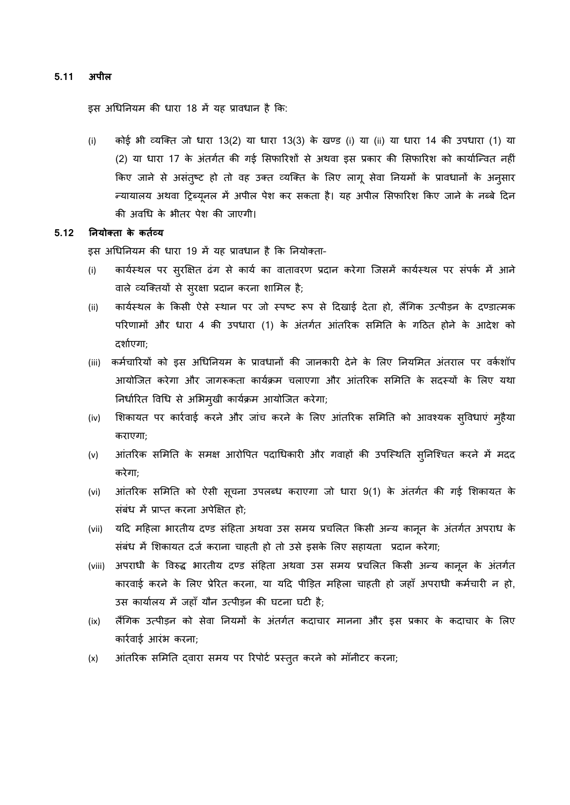### **5.11 अरील**

इस अधिनियम की धारा 18 में यह प्रावधान है कि:

(i) कोई भी व्यक्ति जो धारा 13(2) या धारा 13(3) के खण्ड (i) या (ii) या धारा 14 की उपधारा (1) या (2) या धारा 17 के अंतर्गत की गई सिफारिशों से अथवा इस प्रकार की सिफारिश को कार्यान्वित नहीं किए जाने से असंतुष्ट हो तो वह उक्त व्यक्ति के लिए लागू सेवा नियमों के प्रावधानों के अनुसार न्यायालय अथवा ट्रिब्यूनल में अपील पेश कर सकता है। यह अपील सिफारिश किए जाने के नब्बे दिन की अविध के भीतर पेश की जाएकी।

### **5.12 ननयोक् ता के कतडय य**

इस अधिनियम की धारा 19 में यह प्रावधान है कि नियोक्ता-

- (i) कार्यस्थल पर सुरक्षित ढंग से कार्य का वातावरण प्रदान करेगा जिसमें कार्यस्थल पर संपर्क में आने वाले व्यक्तियों से सुरक्षा प्रदान करना शामिल है;
- (ii) कार्यस्थल के किसी ऐसे स्थान पर जो स्पष्ट रूप से दिखाई देता हो, लैंगिक उत्पीड़न के दण्डात्मक परिणामों और धारा 4 की उपधारा (1) के अंतर्गत आंतरिक समिति के गठित होने के आदेश को दशािएका;
- (iii) कर्मचारियों को इस अधिनियम के प्रावधानों की जानकारी देने के लिए नियमित अंतराल पर वर्कशॉप आयोजित करेगा और जागरूकता कार्यक्रम चलाएगा और आंतरिक समिति के सदस्यों के लिए यथा निर्धारित विधि से अभिमुखी कार्यक्रम आयोजित करेगा;
- (iv) र्शकायत पर कारिवाई करने और जांच करने के र्लए आंतररक सर्मनत को आवय यक सुववधाएं मुहैया कराएका;
- (v) आंतरिक समिति के समक्ष आरोपित पदाधिकारी और गवाहों की उपस्थिति स्निश्चित करने में मदद करेका;
- (vi) आंतरिक समिति को ऐसी सूचना उपलब्ध कराएगा जो धारा 9(1) के अंतर्गत की गई शिकायत के संबंध में प्राप्त करना अपेक्षित हो;
- (vii) यदि महिला भारतीय दण्ड संहिता अथवा उस समय प्रचलित किसी अन्य कानून के अंतर्गत अपराध के संबंध में र्शकायत दजि कराना चाहती हो तो उसे इसके र्लए सहायता प्रदान करेका;
- (viii) अपराधी के विरुद्ध भारतीय दण्ड संहिता अथवा उस समय प्रचलित किसी अन्य कानून के अंतर्गत कारवाई करने के र्लए प्रेररत करना, या यदद पीड़ड़त मदहला चाहती हो जहााँ अपराधी कमिचारी न हो, उस कायािलय में जहााँ यौंन उतपीड़न की घटना घटी है;
- (ix) लैंगिक उत्पीड़न को सेवा नियमों के अंतर्गत कदाचार मानना और इस प्रकार के कदाचार के लिए कारिवाई आरंभ करना;
- (x) आंतररक सर्मनत द्वारा समय पर ररपोटि प्रस्तुत करने को मॉनीटर करना;